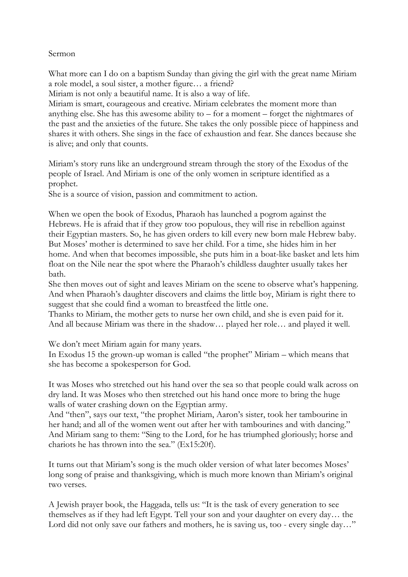## Sermon

What more can I do on a baptism Sunday than giving the girl with the great name Miriam a role model, a soul sister, a mother figure… a friend?

Miriam is not only a beautiful name. It is also a way of life.

Miriam is smart, courageous and creative. Miriam celebrates the moment more than anything else. She has this awesome ability to  $-$  for a moment  $-$  forget the nightmares of the past and the anxieties of the future. She takes the only possible piece of happiness and shares it with others. She sings in the face of exhaustion and fear. She dances because she is alive; and only that counts.

Miriam's story runs like an underground stream through the story of the Exodus of the people of Israel. And Miriam is one of the only women in scripture identified as a prophet.

She is a source of vision, passion and commitment to action.

When we open the book of Exodus, Pharaoh has launched a pogrom against the Hebrews. He is afraid that if they grow too populous, they will rise in rebellion against their Egyptian masters. So, he has given orders to kill every new born male Hebrew baby. But Moses' mother is determined to save her child. For a time, she hides him in her home. And when that becomes impossible, she puts him in a boat-like basket and lets him float on the Nile near the spot where the Pharaoh's childless daughter usually takes her bath.

She then moves out of sight and leaves Miriam on the scene to observe what's happening. And when Pharaoh's daughter discovers and claims the little boy, Miriam is right there to suggest that she could find a woman to breastfeed the little one.

Thanks to Miriam, the mother gets to nurse her own child, and she is even paid for it. And all because Miriam was there in the shadow… played her role… and played it well.

We don't meet Miriam again for many years.

In Exodus 15 the grown-up woman is called "the prophet" Miriam – which means that she has become a spokesperson for God.

It was Moses who stretched out his hand over the sea so that people could walk across on dry land. It was Moses who then stretched out his hand once more to bring the huge walls of water crashing down on the Egyptian army.

And "then", says our text, "the prophet Miriam, Aaron's sister, took her tambourine in her hand; and all of the women went out after her with tambourines and with dancing." And Miriam sang to them: "Sing to the Lord, for he has triumphed gloriously; horse and chariots he has thrown into the sea." (Ex15:20f).

It turns out that Miriam's song is the much older version of what later becomes Moses' long song of praise and thanksgiving, which is much more known than Miriam's original two verses.

A Jewish prayer book, the Haggada, tells us: "It is the task of every generation to see themselves as if they had left Egypt. Tell your son and your daughter on every day… the Lord did not only save our fathers and mothers, he is saving us, too - every single day..."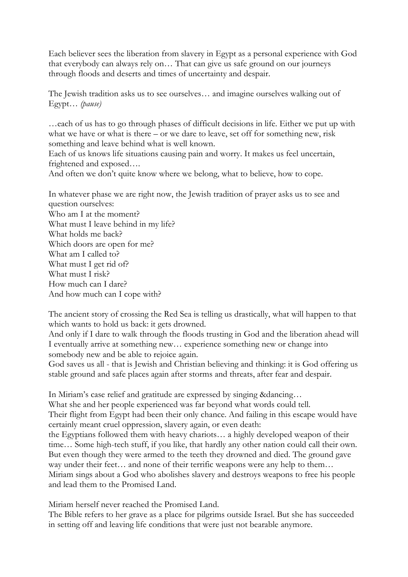Each believer sees the liberation from slavery in Egypt as a personal experience with God that everybody can always rely on… That can give us safe ground on our journeys through floods and deserts and times of uncertainty and despair.

The Jewish tradition asks us to see ourselves… and imagine ourselves walking out of Egypt… *(pause)*

…each of us has to go through phases of difficult decisions in life. Either we put up with what we have or what is there – or we dare to leave, set off for something new, risk something and leave behind what is well known.

Each of us knows life situations causing pain and worry. It makes us feel uncertain, frightened and exposed….

And often we don't quite know where we belong, what to believe, how to cope.

In whatever phase we are right now, the Jewish tradition of prayer asks us to see and question ourselves: Who am I at the moment? What must I leave behind in my life? What holds me back? Which doors are open for me? What am I called to? What must I get rid of? What must I risk? How much can I dare?

And how much can I cope with?

The ancient story of crossing the Red Sea is telling us drastically, what will happen to that which wants to hold us back: it gets drowned.

And only if I dare to walk through the floods trusting in God and the liberation ahead will I eventually arrive at something new… experience something new or change into somebody new and be able to rejoice again.

God saves us all - that is Jewish and Christian believing and thinking: it is God offering us stable ground and safe places again after storms and threats, after fear and despair.

In Miriam's case relief and gratitude are expressed by singing &dancing…

What she and her people experienced was far beyond what words could tell.

Their flight from Egypt had been their only chance. And failing in this escape would have certainly meant cruel oppression, slavery again, or even death:

the Egyptians followed them with heavy chariots… a highly developed weapon of their time… Some high-tech stuff, if you like, that hardly any other nation could call their own. But even though they were armed to the teeth they drowned and died. The ground gave way under their feet... and none of their terrific weapons were any help to them... Miriam sings about a God who abolishes slavery and destroys weapons to free his people and lead them to the Promised Land.

Miriam herself never reached the Promised Land.

The Bible refers to her grave as a place for pilgrims outside Israel. But she has succeeded in setting off and leaving life conditions that were just not bearable anymore.